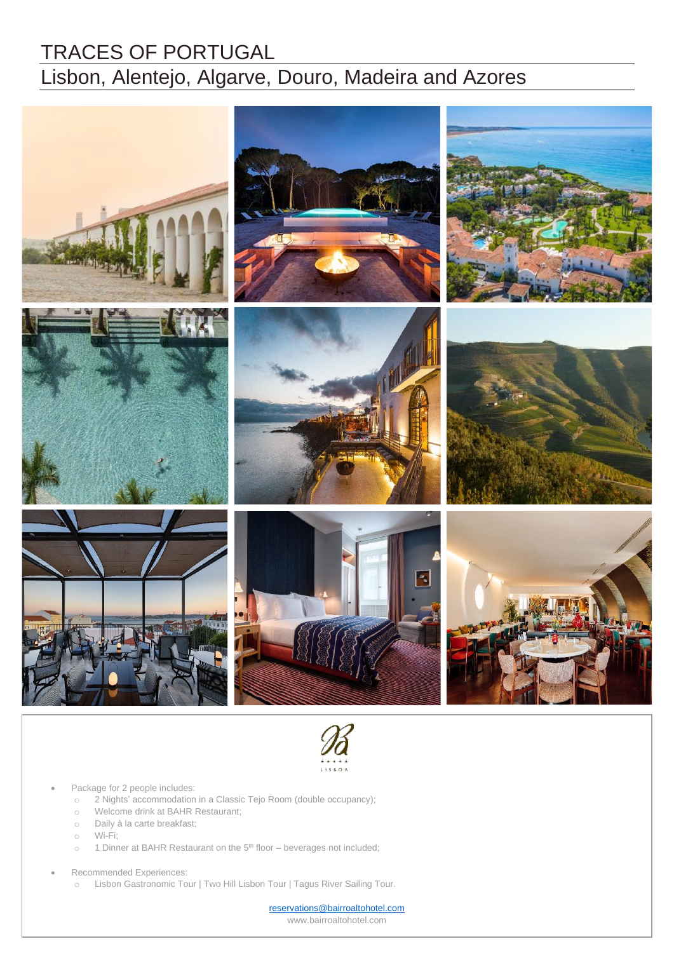# TRACES OF PORTUGAL Lisbon, Alentejo, Algarve, Douro, Madeira and Azores





#### Package for 2 people includes:

- o 2 Nights' accommodation in a Classic Tejo Room (double occupancy);
- o 2 Nights accommodation in a Classic Tej<br>o Welcome drink at BAHR Restaurant;
	- o Daily à la carte breakfast;
	- o Wi-Fi;
- o Dany and carte breakhast,<br>o Wi-Fi;<br>o 1 Dinner at BAHR Restaurant on the 5<sup>th</sup> floor beverages not included;
	- Recommended Experiences:
		- o Lisbon Gastronomic Tour | Two Hill Lisbon Tour | Tagus River Sailing Tour.

[reservations@bairroaltohotel.com](mailto:reservations@bairroaltohotel.com) www.bairroaltohotel.com